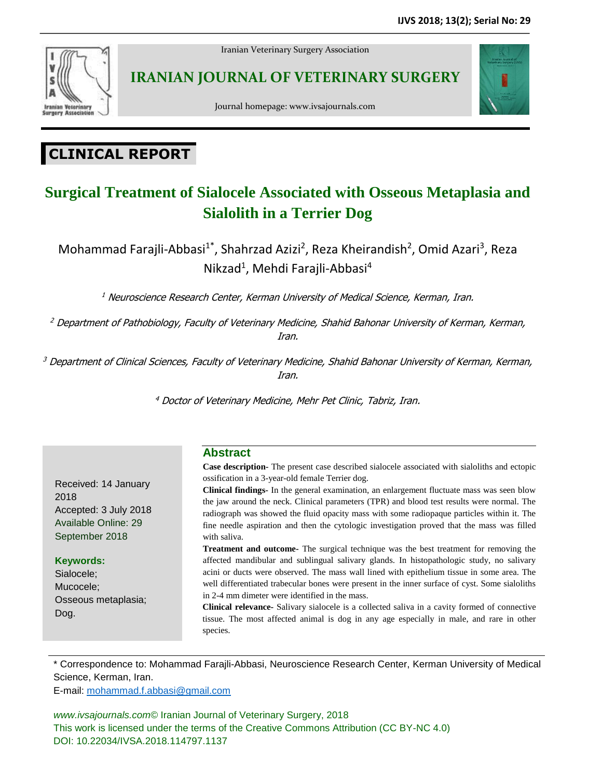

Iranian Veterinary Surgery Association

**IRANIAN JOURNAL OF VETERINARY SURGERY**



Journal homepage: www.ivsajournals.com

# **CLINICAL REPORT**

# **Surgical Treatment of Sialocele Associated with Osseous Metaplasia and Sialolith in a Terrier Dog**

Mohammad Farajli-Abbasi<sup>1\*</sup>, Shahrzad Azizi<sup>2</sup>, Reza Kheirandish<sup>2</sup>, Omid Azari<sup>3</sup>, Reza Nikzad<sup>1</sup>, Mehdi Farajli-Abbasi<sup>4</sup>

<sup>1</sup> Neuroscience Research Center, Kerman University of Medical Science, Kerman, Iran.

<sup>2</sup> Department of Pathobiology, Faculty of Veterinary Medicine, Shahid Bahonar University of Kerman, Kerman, Iran.

<sup>3</sup> Department of Clinical Sciences, Faculty of Veterinary Medicine, Shahid Bahonar University of Kerman, Kerman, Iran.

<sup>4</sup> Doctor of Veterinary Medicine, Mehr Pet Clinic, Tabriz, Iran.

## **Abstract**

**Case description-** The present case described sialocele associated with sialoliths and ectopic ossification in a 3-year-old female Terrier dog.

**Clinical findings-** In the general examination, an enlargement fluctuate mass was seen blow the jaw around the neck. Clinical parameters (TPR) and blood test results were normal. The radiograph was showed the fluid opacity mass with some radiopaque particles within it. The fine needle aspiration and then the cytologic investigation proved that the mass was filled with saliva.

**Treatment and outcome-** The surgical technique was the best treatment for removing the affected mandibular and sublingual salivary glands. In histopathologic study, no salivary acini or ducts were observed. The mass wall lined with epithelium tissue in some area. The well differentiated trabecular bones were present in the inner surface of cyst. Some sialoliths in 2-4 mm dimeter were identified in the mass.

**Clinical relevance-** Salivary sialocele is a collected saliva in a cavity formed of connective tissue. The most affected animal is dog in any age especially in male, and rare in other species.

\* Correspondence to: Mohammad Farajli-Abbasi, Neuroscience Research Center, Kerman University of Medical Science, Kerman, Iran.

E-mail: [mohammad.f.abbasi@gmail.com](mailto:mohammad.f.abbasi@gmail.com)

Received: 14 January

Accepted: 3 July 2018 Available Online: 29 September 2018

Osseous metaplasia;

2018

Dog.

**Keywords:** Sialocele; Mucocele;

*www.ivsajournals.com©* Iranian Journal of Veterinary Surgery, 2018 This work is licensed under the terms of the Creative Commons Attribution (CC BY-NC 4.0) DOI: 10.22034/IVSA.2018.114797.1137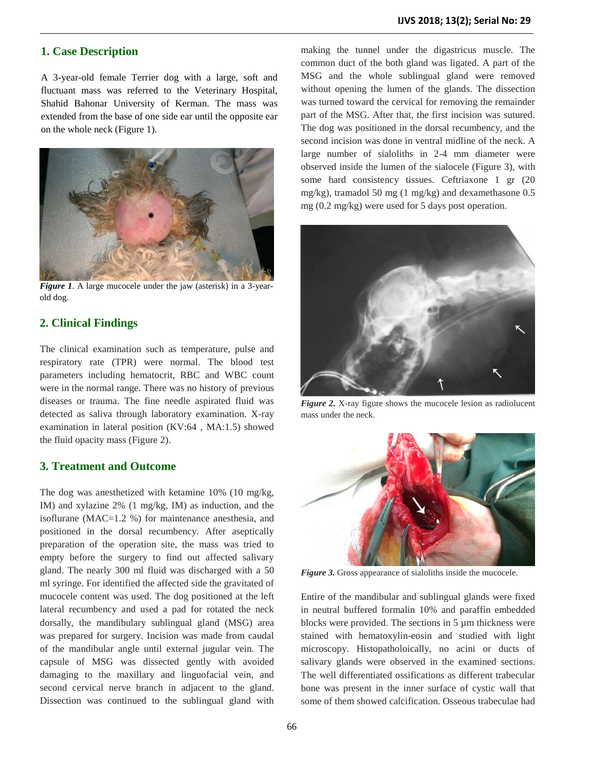#### **1. Case Description**

A 3-year-old female Terrier dog with a large, soft and fluctuant mass was referred to the Veterinary Hospital, Shahid Bahonar University of Kerman. The mass was extended from the base of one side ear until the opposite ear on the whole neck (Figure 1).



*Figure 1*. A large mucocele under the jaw (asterisk) in a 3-yearold dog.

#### **2. Clinical Findings**

The clinical examination such as temperature, pulse and respiratory rate (TPR) were normal. The blood test parameters including hematocrit, RBC and WBC count were in the normal range. There was no history of previous diseases or trauma. The fine needle aspirated fluid was detected as saliva through laboratory examination. X-ray examination in lateral position (KV:64 , MA:1.5) showed the fluid opacity mass (Figure 2).

#### **3. Treatment and Outcome**

The dog was anesthetized with ketamine 10% (10 mg/kg, IM) and xylazine 2% (1 mg/kg, IM) as induction, and the isoflurane (MAC=1.2 %) for maintenance anesthesia, and positioned in the dorsal recumbency. After aseptically preparation of the operation site, the mass was tried to empty before the surgery to find out affected salivary gland. The nearly 300 ml fluid was discharged with a 50 ml syringe. For identified the affected side the gravitated of mucocele content was used. The dog positioned at the left lateral recumbency and used a pad for rotated the neck dorsally, the mandibulary sublingual gland (MSG) area was prepared for surgery. Incision was made from caudal of the mandibular angle until external jugular vein. The capsule of MSG was dissected gently with avoided damaging to the maxillary and linguofacial vein, and second cervical nerve branch in adjacent to the gland. Dissection was continued to the sublingual gland with

making the tunnel under the digastricus muscle. The common duct of the both gland was ligated. A part of the MSG and the whole sublingual gland were removed without opening the lumen of the glands. The dissection was turned toward the cervical for removing the remainder part of the MSG. After that, the first incision was sutured. The dog was positioned in the dorsal recumbency, and the second incision was done in ventral midline of the neck. A large number of sialoliths in 2-4 mm diameter were observed inside the lumen of the sialocele (Figure 3), with some hard consistency tissues. Ceftriaxone 1 gr (20 mg/kg), tramadol 50 mg (1 mg/kg) and dexamethasone 0.5 mg (0.2 mg/kg) were used for 5 days post operation.



*Figure 2.* X-ray figure shows the mucocele lesion as radiolucent mass under the neck.



*Figure 3.* Gross appearance of sialoliths inside the mucocele.

Entire of the mandibular and sublingual glands were fixed in neutral buffered formalin 10% and paraffin embedded blocks were provided. The sections in 5 µm thickness were stained with hematoxylin-eosin and studied with light microscopy. Histopatholoically, no acini or ducts of salivary glands were observed in the examined sections. The well differentiated ossifications as different trabecular bone was present in the inner surface of cystic wall that some of them showed calcification. Osseous trabeculae had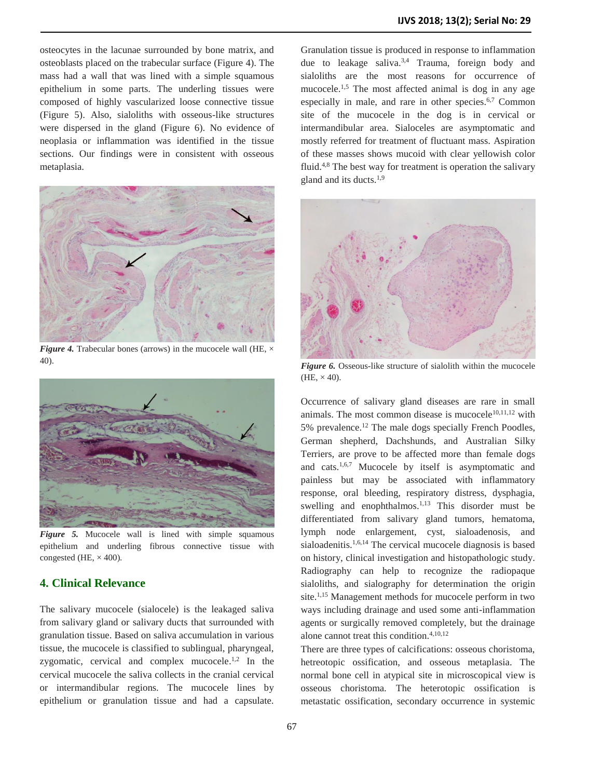osteocytes in the lacunae surrounded by bone matrix, and osteoblasts placed on the trabecular surface (Figure 4). The mass had a wall that was lined with a simple squamous epithelium in some parts. The underling tissues were composed of highly vascularized loose connective tissue (Figure 5). Also, sialoliths with osseous-like structures were dispersed in the gland (Figure 6). No evidence of neoplasia or inflammation was identified in the tissue sections. Our findings were in consistent with osseous metaplasia.



*Figure* 4. Trabecular bones (arrows) in the mucocele wall (HE,  $\times$ 40).



*Figure 5.* Mucocele wall is lined with simple squamous epithelium and underling fibrous connective tissue with congested (HE,  $\times$  400).

### **4. Clinical Relevance**

The salivary mucocele (sialocele) is the leakaged saliva from salivary gland or salivary ducts that surrounded with granulation tissue. Based on saliva accumulation in various tissue, the mucocele is classified to sublingual, pharyngeal, zygomatic, cervical and complex mucocele. $1,2$  In the cervical mucocele the saliva collects in the cranial cervical or intermandibular regions. The mucocele lines by epithelium or granulation tissue and had a capsulate.

Granulation tissue is produced in response to inflammation due to leakage saliva.<sup>3,4</sup> Trauma, foreign body and sialoliths are the most reasons for occurrence of mucocele.<sup>1,5</sup> The most affected animal is dog in any age especially in male, and rare in other species. 6,7 Common site of the mucocele in the dog is in cervical or intermandibular area. Sialoceles are asymptomatic and mostly referred for treatment of fluctuant mass. Aspiration of these masses shows mucoid with clear yellowish color fluid.<sup>4,8</sup> The best way for treatment is operation the salivary gland and its ducts.<sup>1,9</sup>



*Figure 6.* Osseous-like structure of sialolith within the mucocele  $(HE, \times 40).$ 

Occurrence of salivary gland diseases are rare in small animals. The most common disease is mucocele $10,11,12$  with 5% prevalence.<sup>12</sup> The male dogs specially French Poodles, German shepherd, Dachshunds, and Australian Silky Terriers, are prove to be affected more than female dogs and cats.1,6,7 Mucocele by itself is asymptomatic and painless but may be associated with inflammatory response, oral bleeding, respiratory distress, dysphagia, swelling and enophthalmos.<sup>1,13</sup> This disorder must be differentiated from salivary gland tumors, hematoma, lymph node enlargement, cyst, sialoadenosis, and sialoadenitis.<sup>1,6,14</sup> The cervical mucocele diagnosis is based on history, clinical investigation and histopathologic study. Radiography can help to recognize the radiopaque sialoliths, and sialography for determination the origin site.<sup>1,15</sup> Management methods for mucocele perform in two ways including drainage and used some anti-inflammation agents or surgically removed completely, but the drainage alone cannot treat this condition.4,10,12

There are three types of calcifications: osseous choristoma, hetreotopic ossification, and osseous metaplasia. The normal bone cell in atypical site in microscopical view is osseous choristoma. The heterotopic ossification is metastatic ossification, secondary occurrence in systemic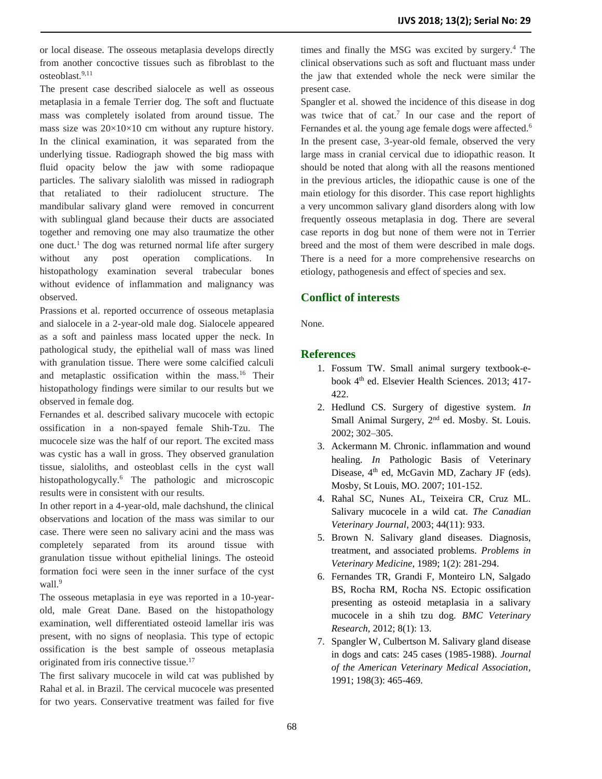or local disease. The osseous metaplasia develops directly from another concoctive tissues such as fibroblast to the  $osteoblast.<sup>9,11</sup>$ 

The present case described sialocele as well as osseous metaplasia in a female Terrier dog. The soft and fluctuate mass was completely isolated from around tissue. The mass size was  $20 \times 10 \times 10$  cm without any rupture history. In the clinical examination, it was separated from the underlying tissue. Radiograph showed the big mass with fluid opacity below the jaw with some radiopaque particles. The salivary sialolith was missed in radiograph that retaliated to their radiolucent structure. The mandibular salivary gland were removed in concurrent with sublingual gland because their ducts are associated together and removing one may also traumatize the other one duct.<sup>1</sup> The dog was returned normal life after surgery without any post operation complications. In histopathology examination several trabecular bones without evidence of inflammation and malignancy was observed.

Prassions et al. reported occurrence of osseous metaplasia and sialocele in a 2-year-old male dog. Sialocele appeared as a soft and painless mass located upper the neck. In pathological study, the epithelial wall of mass was lined with granulation tissue. There were some calcified calculi and metaplastic ossification within the mass.<sup>16</sup> Their histopathology findings were similar to our results but we observed in female dog.

Fernandes et al. described salivary mucocele with ectopic ossification in a non-spayed female Shih-Tzu. The mucocele size was the half of our report. The excited mass was cystic has a wall in gross. They observed granulation tissue, sialoliths, and osteoblast cells in the cyst wall histopathologycally.<sup>6</sup> The pathologic and microscopic results were in consistent with our results.

In other report in a 4-year-old, male dachshund, the clinical observations and location of the mass was similar to our case. There were seen no salivary acini and the mass was completely separated from its around tissue with granulation tissue without epithelial linings. The osteoid formation foci were seen in the inner surface of the cyst wall.<sup>9</sup>

The osseous metaplasia in eye was reported in a 10-yearold, male Great Dane. Based on the histopathology examination, well differentiated osteoid lamellar iris was present, with no signs of neoplasia. This type of ectopic ossification is the best sample of osseous metaplasia originated from iris connective tissue.<sup>17</sup>

The first salivary mucocele in wild cat was published by Rahal et al. in Brazil. The cervical mucocele was presented for two years. Conservative treatment was failed for five

times and finally the MSG was excited by surgery.<sup>4</sup> The clinical observations such as soft and fluctuant mass under the jaw that extended whole the neck were similar the present case.

Spangler et al. showed the incidence of this disease in dog was twice that of cat.<sup>7</sup> In our case and the report of Fernandes et al. the young age female dogs were affected.<sup>6</sup> In the present case, 3-year-old female, observed the very large mass in cranial cervical due to idiopathic reason. It should be noted that along with all the reasons mentioned in the previous articles, the idiopathic cause is one of the main etiology for this disorder. This case report highlights a very uncommon salivary gland disorders along with low frequently osseous metaplasia in dog. There are several case reports in dog but none of them were not in Terrier breed and the most of them were described in male dogs. There is a need for a more comprehensive researchs on etiology, pathogenesis and effect of species and sex.

## **Conflict of interests**

None.

### **References**

- 1. Fossum TW. Small animal surgery textbook-ebook 4<sup>th</sup> ed. Elsevier Health Sciences. 2013; 417-422.
- 2. Hedlund CS. Surgery of digestive system. *In* Small Animal Surgery, 2<sup>nd</sup> ed. Mosby. St. Louis. 2002; 302–305.
- 3. Ackermann M. Chronic. inflammation and wound healing. *In* Pathologic Basis of Veterinary Disease, 4<sup>th</sup> ed, McGavin MD, Zachary JF (eds). Mosby, St Louis, MO. 2007; 101-152.
- 4. Rahal SC, Nunes AL, Teixeira CR, Cruz ML. Salivary mucocele in a wild cat. *The Canadian Veterinary Journal*, 2003; 44(11): 933.
- 5. Brown N. Salivary gland diseases. Diagnosis, treatment, and associated problems. *Problems in Veterinary Medicine*, 1989; 1(2): 281-294.
- 6. Fernandes TR, Grandi F, Monteiro LN, Salgado BS, Rocha RM, Rocha NS. Ectopic ossification presenting as osteoid metaplasia in a salivary mucocele in a shih tzu dog. *BMC Veterinary Research*, 2012; 8(1): 13.
- 7. Spangler W, Culbertson M. Salivary gland disease in dogs and cats: 245 cases (1985-1988). *Journal of the American Veterinary Medical Association,* 1991; 198(3): 465-469.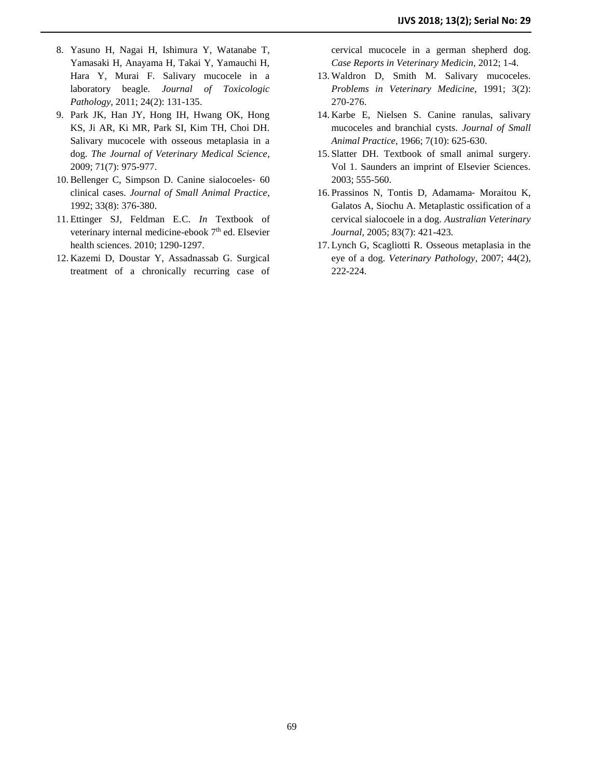- 8. Yasuno H, Nagai H, Ishimura Y, Watanabe T, Yamasaki H, Anayama H, Takai Y, Yamauchi H, Hara Y, Murai F. Salivary mucocele in a laboratory beagle. *Journal of Toxicologic Pathology*, 2011; 24(2): 131-135.
- 9. Park JK, Han JY, Hong IH, Hwang OK, Hong KS, Ji AR, Ki MR, Park SI, Kim TH, Choi DH. Salivary mucocele with osseous metaplasia in a dog. *The Journal of Veterinary Medical Science*, 2009; 71(7): 975-977.
- 10. Bellenger C, Simpson D. Canine sialocoeles‐ 60 clinical cases. *Journal of Small Animal Practice*, 1992; 33(8): 376-380.
- 11. Ettinger SJ, Feldman E.C. *In* Textbook of veterinary internal medicine-ebook 7<sup>th</sup> ed. Elsevier health sciences. 2010; 1290-1297.
- 12. Kazemi D, Doustar Y, Assadnassab G. Surgical treatment of a chronically recurring case of

cervical mucocele in a german shepherd dog. *Case Reports in Veterinary Medicin,* 2012; 1-4.

- 13. Waldron D, Smith M. Salivary mucoceles. *Problems in Veterinary Medicine*, 1991; 3(2): 270-276.
- 14. Karbe E, Nielsen S. Canine ranulas, salivary mucoceles and branchial cysts. *Journal of Small Animal Practice*, 1966; 7(10): 625-630.
- 15. Slatter DH. Textbook of small animal surgery. Vol 1. Saunders an imprint of Elsevier Sciences. 2003; 555-560.
- 16. Prassinos N, Tontis D, Adamama‐ Moraitou K, Galatos A, Siochu A. Metaplastic ossification of a cervical sialocoele in a dog. *Australian Veterinary Journal,* 2005; 83(7): 421-423.
- 17. Lynch G, Scagliotti R. Osseous metaplasia in the eye of a dog. *Veterinary Pathology*, 2007; 44(2), 222-224.